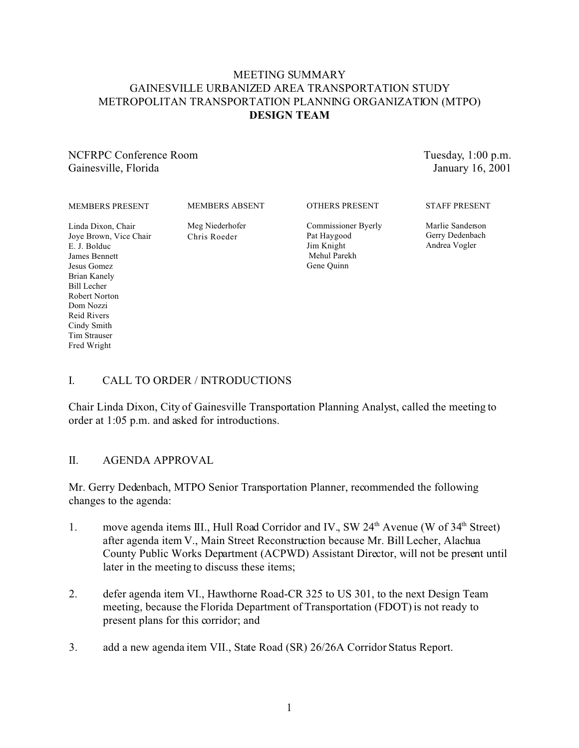### MEETING SUMMARY GAINESVILLE URBANIZED AREA TRANSPORTATION STUDY METROPOLITAN TRANSPORTATION PLANNING ORGANIZATION (MTPO) **DESIGN TEAM**

### NCFRPC Conference Room Gainesville, Florida

Tuesday, 1:00 p.m. January 16, 2001

MEMBERS ABSENT

Linda Dixon, Chair Joye Brown, Vice Chair E. J. Bolduc James Bennett Jesus Gomez Brian Kanely Bill Lecher Robert Norton Dom Nozzi Reid Rivers Cindy Smith Tim Strauser Fred Wright

Meg Niederhofer Chris Roeder

OTHERS PRESENT

Commissioner Byerly Pat Haygood Jim Knight Mehul Parekh Gene Quinn

STAFF PRESENT

Marlie Sanderson Gerry Dedenbach Andrea Vogler

## I. CALL TO ORDER / INTRODUCTIONS

Chair Linda Dixon, City of Gainesville Transportation Planning Analyst, called the meeting to order at 1:05 p.m. and asked for introductions.

### II. AGENDA APPROVAL

Mr. Gerry Dedenbach, MTPO Senior Transportation Planner, recommended the following changes to the agenda:

- 1. move agenda items III., Hull Road Corridor and IV., SW 24<sup>th</sup> Avenue (W of 34<sup>th</sup> Street) after agenda item V., Main Street Reconstruction because Mr. Bill Lecher, Alachua County Public Works Department (ACPWD) Assistant Director, will not be present until later in the meeting to discuss these items;
- 2. defer agenda item VI., Hawthorne Road-CR 325 to US 301, to the next Design Team meeting, because the Florida Department of Transportation (FDOT) is not ready to present plans for this corridor; and
- 3. add a new agenda item VII., State Road (SR) 26/26A Corridor Status Report.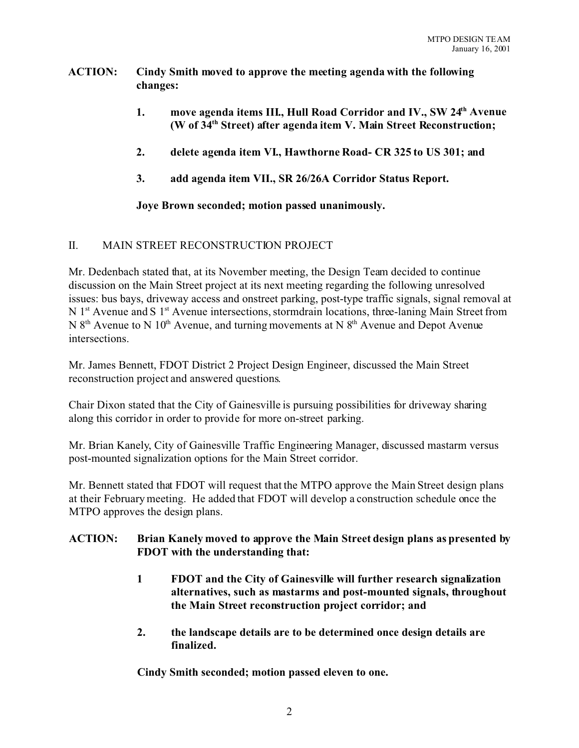### **ACTION: Cindy Smith moved to approve the meeting agenda with the following changes:**

- **1. move agenda items III., Hull Road Corridor and IV., SW 24th Avenue (W of 34th Street) after agenda item V. Main Street Reconstruction;**
- **2. delete agenda item VI., Hawthorne Road- CR 325 to US 301; and**
- **3. add agenda item VII., SR 26/26A Corridor Status Report.**

**Joye Brown seconded; motion passed unanimously.**

### II. MAIN STREET RECONSTRUCTION PROJECT

Mr. Dedenbach stated that, at its November meeting, the Design Team decided to continue discussion on the Main Street project at its next meeting regarding the following unresolved issues: bus bays, driveway access and onstreet parking, post-type traffic signals, signal removal at N 1<sup>st</sup> Avenue and S 1<sup>st</sup> Avenue intersections, stormdrain locations, three-laning Main Street from N  $8<sup>th</sup>$  Avenue to N  $10<sup>th</sup>$  Avenue, and turning movements at N  $8<sup>th</sup>$  Avenue and Depot Avenue intersections.

Mr. James Bennett, FDOT District 2 Project Design Engineer, discussed the Main Street reconstruction project and answered questions.

Chair Dixon stated that the City of Gainesville is pursuing possibilities for driveway sharing along this corridor in order to provide for more on-street parking.

Mr. Brian Kanely, City of Gainesville Traffic Engineering Manager, discussed mastarm versus post-mounted signalization options for the Main Street corridor.

Mr. Bennett stated that FDOT will request that the MTPO approve the Main Street design plans at their February meeting. He added that FDOT will develop a construction schedule once the MTPO approves the design plans.

### **ACTION: Brian Kanely moved to approve the Main Street design plans as presented by FDOT with the understanding that:**

- **1 FDOT and the City of Gainesville will further research signalization alternatives, such as mastarms and post-mounted signals, throughout the Main Street reconstruction project corridor; and**
- **2. the landscape details are to be determined once design details are finalized.**

**Cindy Smith seconded; motion passed eleven to one.**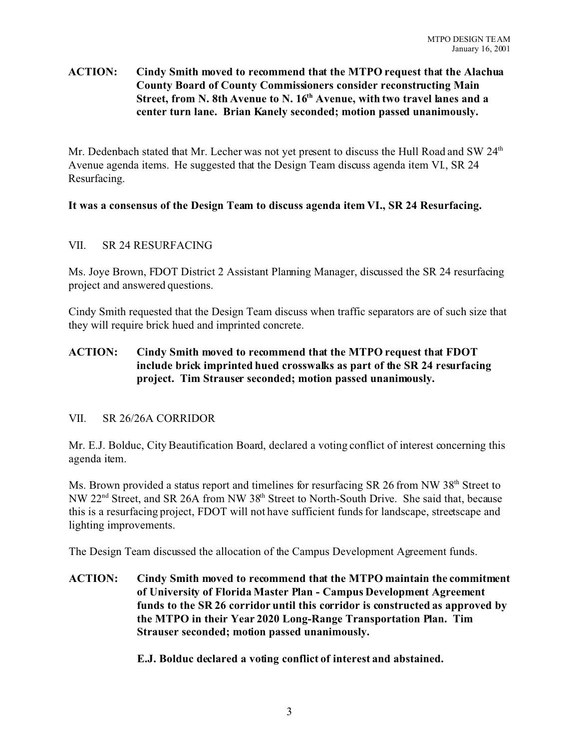### **ACTION: Cindy Smith moved to recommend that the MTPO request that the Alachua County Board of County Commissioners consider reconstructing Main Street, from N. 8th Avenue to N. 16th Avenue, with two travel lanes and a center turn lane. Brian Kanely seconded; motion passed unanimously.**

Mr. Dedenbach stated that Mr. Lecher was not yet present to discuss the Hull Road and SW 24<sup>th</sup> Avenue agenda items. He suggested that the Design Team discuss agenda item VI., SR 24 Resurfacing.

### **It was a consensus of the Design Team to discuss agenda item VI., SR 24 Resurfacing.**

### VII. SR 24 RESURFACING

Ms. Joye Brown, FDOT District 2 Assistant Planning Manager, discussed the SR 24 resurfacing project and answered questions.

Cindy Smith requested that the Design Team discuss when traffic separators are of such size that they will require brick hued and imprinted concrete.

### **ACTION: Cindy Smith moved to recommend that the MTPO request that FDOT include brick imprinted hued crosswalks as part of the SR 24 resurfacing project. Tim Strauser seconded; motion passed unanimously.**

#### VII. SR 26/26A CORRIDOR

Mr. E.J. Bolduc, City Beautification Board, declared a voting conflict of interest concerning this agenda item.

Ms. Brown provided a status report and timelines for resurfacing SR 26 from NW 38<sup>th</sup> Street to NW 22<sup>nd</sup> Street, and SR 26A from NW 38<sup>th</sup> Street to North-South Drive. She said that, because this is a resurfacing project, FDOT will not have sufficient funds for landscape, streetscape and lighting improvements.

The Design Team discussed the allocation of the Campus Development Agreement funds.

**ACTION: Cindy Smith moved to recommend that the MTPO maintain the commitment of University of Florida Master Plan - Campus Development Agreement funds to the SR 26 corridor until this corridor is constructed as approved by the MTPO in their Year 2020 Long-Range Transportation Plan. Tim Strauser seconded; motion passed unanimously.**

**E.J. Bolduc declared a voting conflict of interest and abstained.**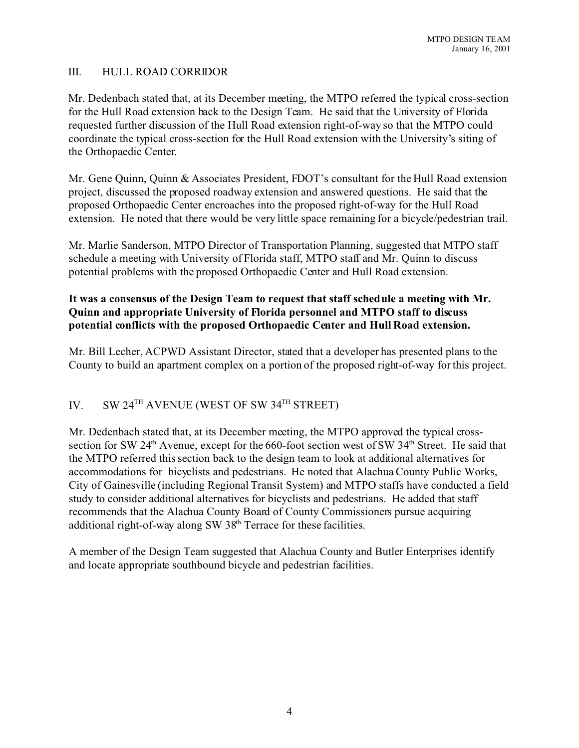### III. HULL ROAD CORRIDOR

Mr. Dedenbach stated that, at its December meeting, the MTPO referred the typical cross-section for the Hull Road extension back to the Design Team. He said that the University of Florida requested further discussion of the Hull Road extension right-of-way so that the MTPO could coordinate the typical cross-section for the Hull Road extension with the University's siting of the Orthopaedic Center.

Mr. Gene Quinn, Quinn & Associates President, FDOT's consultant for the Hull Road extension project, discussed the proposed roadway extension and answered questions. He said that the proposed Orthopaedic Center encroaches into the proposed right-of-way for the Hull Road extension. He noted that there would be very little space remaining for a bicycle/pedestrian trail.

Mr. Marlie Sanderson, MTPO Director of Transportation Planning, suggested that MTPO staff schedule a meeting with University of Florida staff, MTPO staff and Mr. Quinn to discuss potential problems with the proposed Orthopaedic Center and Hull Road extension.

### **It was a consensus of the Design Team to request that staff schedule a meeting with Mr. Quinn and appropriate University of Florida personnel and MTPO staff to discuss potential conflicts with the proposed Orthopaedic Center and Hull Road extension.**

Mr. Bill Lecher, ACPWD Assistant Director, stated that a developer has presented plans to the County to build an apartment complex on a portion of the proposed right-of-way for this project.

# IV. SW 24<sup>TH</sup> AVENUE (WEST OF SW 34<sup>TH</sup> STREET)

Mr. Dedenbach stated that, at its December meeting, the MTPO approved the typical crosssection for SW 24<sup>th</sup> Avenue, except for the 660-foot section west of SW 34<sup>th</sup> Street. He said that the MTPO referred this section back to the design team to look at additional alternatives for accommodations for bicyclists and pedestrians. He noted that Alachua County Public Works, City of Gainesville (including Regional Transit System) and MTPO staffs have conducted a field study to consider additional alternatives for bicyclists and pedestrians. He added that staff recommends that the Alachua County Board of County Commissioners pursue acquiring additional right-of-way along SW  $38<sup>th</sup>$  Terrace for these facilities.

A member of the Design Team suggested that Alachua County and Butler Enterprises identify and locate appropriate southbound bicycle and pedestrian facilities.